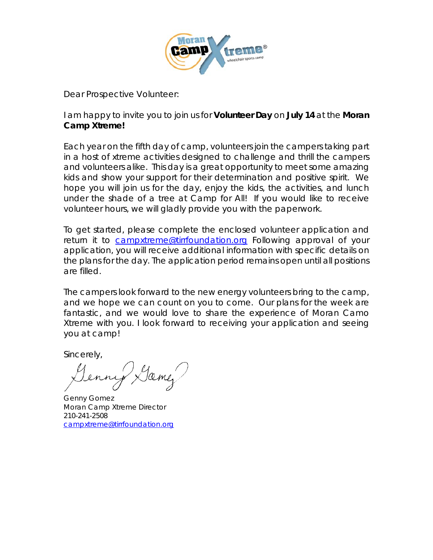

Dear Prospective Volunteer:

I am happy to invite you to join us for **Volunteer Day** on **July 14** at the **Moran Camp Xtreme!** 

Each year on the fifth day of camp, volunteers join the campers taking part in a host of *xtreme* activities designed to challenge and thrill the campers and volunteers alike. This day is a great opportunity to meet some amazing kids and show your support for their determination and positive spirit. We hope you will join us for the day, enjoy the kids, the activities, and lunch under the shade of a tree at Camp for All! If you would like to receive volunteer hours, we will gladly provide you with the paperwork.

To get started, please complete the enclosed volunteer application and return it to [campxtreme@tirrfoundation.org](mailto:campxtreme@tirrfoundation.org) Following approval of your application, you will receive additional information with specific details on the plans for the day. The application period remains open until all positions are filled.

The campers look forward to the new energy volunteers bring to the camp, and we hope we can count on you to come. Our plans for the week are fantastic, and we would love to share the experience of Moran Camo Xtreme with you. I look forward to receiving your application and seeing you at camp!

Sincerely,

Jamez

Genny Gomez Moran Camp Xtreme Director 210-241-2508 [campxtreme@tirrfoundation.org](mailto:campxtreme@tirrfoundation.org)